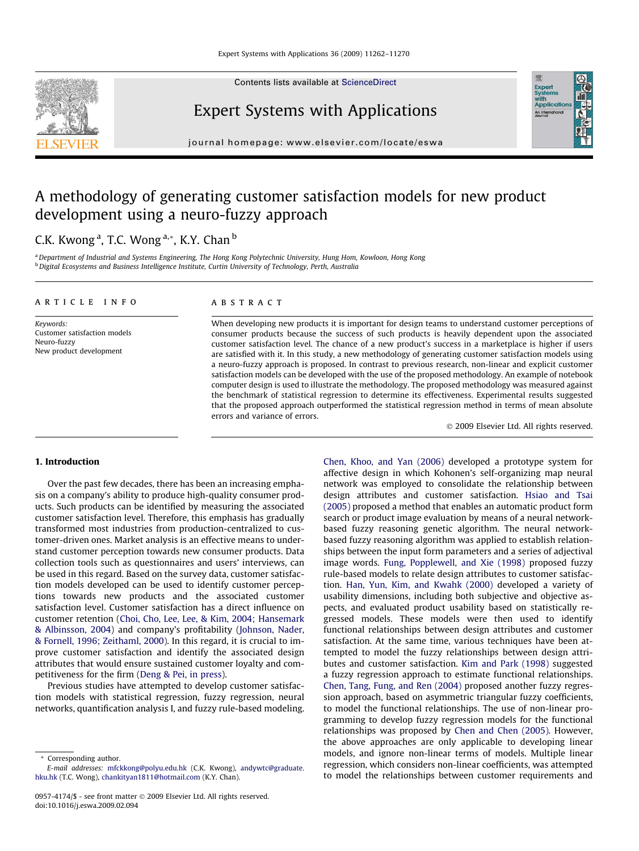Contents lists available at ScienceDirect



Expert Systems with Applications



## A methodology of generating customer satisfaction models for new product development using a neuro-fuzzy approach

### C.K. Kwong <sup>a</sup>, T.C. Wong <sup>a,</sup>\*, K.Y. Chan <sup>b</sup>

a Department of Industrial and Systems Engineering, The Hong Kong Polytechnic University, Hung Hom, Kowloon, Hong Kong <sup>b</sup> Digital Ecosystems and Business Intelligence Institute, Curtin University of Technology, Perth, Australia

#### article info

Keywords: Customer satisfaction models Neuro-fuzzy New product development

#### **ABSTRACT**

When developing new products it is important for design teams to understand customer perceptions of consumer products because the success of such products is heavily dependent upon the associated customer satisfaction level. The chance of a new product's success in a marketplace is higher if users are satisfied with it. In this study, a new methodology of generating customer satisfaction models using a neuro-fuzzy approach is proposed. In contrast to previous research, non-linear and explicit customer satisfaction models can be developed with the use of the proposed methodology. An example of notebook computer design is used to illustrate the methodology. The proposed methodology was measured against the benchmark of statistical regression to determine its effectiveness. Experimental results suggested that the proposed approach outperformed the statistical regression method in terms of mean absolute errors and variance of errors.

- 2009 Elsevier Ltd. All rights reserved.

Expert<br>Syster

#### 1. Introduction

Over the past few decades, there has been an increasing emphasis on a company's ability to produce high-quality consumer products. Such products can be identified by measuring the associated customer satisfaction level. Therefore, this emphasis has gradually transformed most industries from production-centralized to customer-driven ones. Market analysis is an effective means to understand customer perception towards new consumer products. Data collection tools such as questionnaires and users' interviews, can be used in this regard. Based on the survey data, customer satisfaction models developed can be used to identify customer perceptions towards new products and the associated customer satisfaction level. Customer satisfaction has a direct influence on customer retention ([Choi, Cho, Lee, Lee, & Kim, 2004; Hansemark](#page--1-0) [& Albinsson, 2004](#page--1-0)) and company's profitability [\(Johnson, Nader,](#page--1-0) [& Fornell, 1996; Zeithaml, 2000\)](#page--1-0). In this regard, it is crucial to improve customer satisfaction and identify the associated design attributes that would ensure sustained customer loyalty and competitiveness for the firm ([Deng & Pei, in press\)](#page--1-0).

Previous studies have attempted to develop customer satisfaction models with statistical regression, fuzzy regression, neural networks, quantification analysis I, and fuzzy rule-based modeling.

\* Corresponding author.

[Chen, Khoo, and Yan \(2006\)](#page--1-0) developed a prototype system for affective design in which Kohonen's self-organizing map neural network was employed to consolidate the relationship between design attributes and customer satisfaction. [Hsiao and Tsai](#page--1-0) [\(2005\)](#page--1-0) proposed a method that enables an automatic product form search or product image evaluation by means of a neural networkbased fuzzy reasoning genetic algorithm. The neural networkbased fuzzy reasoning algorithm was applied to establish relationships between the input form parameters and a series of adjectival image words. [Fung, Popplewell, and Xie \(1998\)](#page--1-0) proposed fuzzy rule-based models to relate design attributes to customer satisfaction. [Han, Yun, Kim, and Kwahk \(2000\)](#page--1-0) developed a variety of usability dimensions, including both subjective and objective aspects, and evaluated product usability based on statistically regressed models. These models were then used to identify functional relationships between design attributes and customer satisfaction. At the same time, various techniques have been attempted to model the fuzzy relationships between design attributes and customer satisfaction. [Kim and Park \(1998\)](#page--1-0) suggested a fuzzy regression approach to estimate functional relationships. [Chen, Tang, Fung, and Ren \(2004\)](#page--1-0) proposed another fuzzy regression approach, based on asymmetric triangular fuzzy coefficients, to model the functional relationships. The use of non-linear programming to develop fuzzy regression models for the functional relationships was proposed by [Chen and Chen \(2005\)](#page--1-0). However, the above approaches are only applicable to developing linear models, and ignore non-linear terms of models. Multiple linear regression, which considers non-linear coefficients, was attempted to model the relationships between customer requirements and

E-mail addresses: mfckkong@polyu.edu.hk (C.K. Kwong), andywtc@graduate. hku.hk (T.C. Wong), chankityan1811@hotmail.com (K.Y. Chan).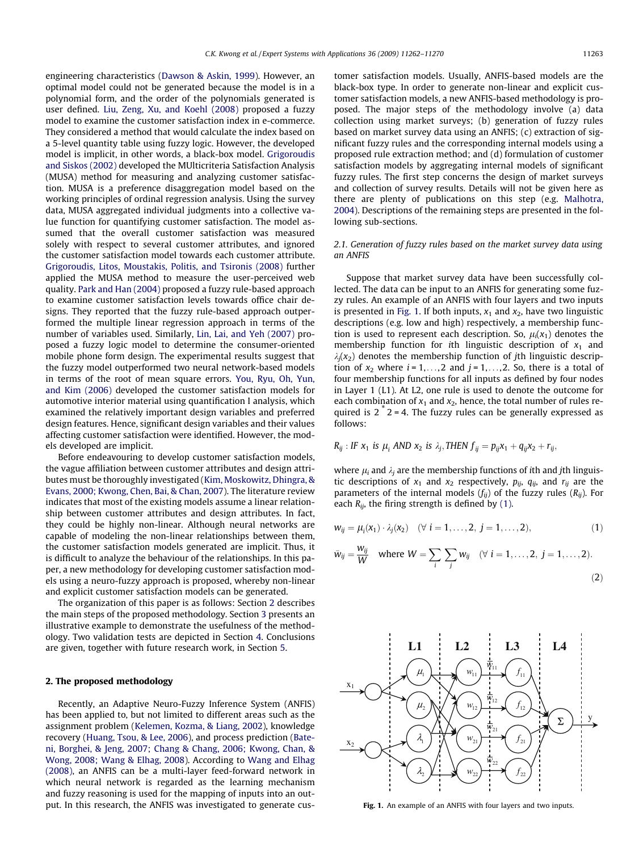engineering characteristics ([Dawson & Askin, 1999\)](#page--1-0). However, an optimal model could not be generated because the model is in a polynomial form, and the order of the polynomials generated is user defined. [Liu, Zeng, Xu, and Koehl \(2008\)](#page--1-0) proposed a fuzzy model to examine the customer satisfaction index in e-commerce. They considered a method that would calculate the index based on a 5-level quantity table using fuzzy logic. However, the developed model is implicit, in other words, a black-box model. [Grigoroudis](#page--1-0) [and Siskos \(2002\)](#page--1-0) developed the MUlticriteria Satisfaction Analysis (MUSA) method for measuring and analyzing customer satisfaction. MUSA is a preference disaggregation model based on the working principles of ordinal regression analysis. Using the survey data, MUSA aggregated individual judgments into a collective value function for quantifying customer satisfaction. The model assumed that the overall customer satisfaction was measured solely with respect to several customer attributes, and ignored the customer satisfaction model towards each customer attribute. [Grigoroudis, Litos, Moustakis, Politis, and Tsironis \(2008\)](#page--1-0) further applied the MUSA method to measure the user-perceived web quality. [Park and Han \(2004\)](#page--1-0) proposed a fuzzy rule-based approach to examine customer satisfaction levels towards office chair designs. They reported that the fuzzy rule-based approach outperformed the multiple linear regression approach in terms of the number of variables used. Similarly, [Lin, Lai, and Yeh \(2007\)](#page--1-0) proposed a fuzzy logic model to determine the consumer-oriented mobile phone form design. The experimental results suggest that the fuzzy model outperformed two neural network-based models in terms of the root of mean square errors. [You, Ryu, Oh, Yun,](#page--1-0) [and Kim \(2006\)](#page--1-0) developed the customer satisfaction models for automotive interior material using quantification I analysis, which examined the relatively important design variables and preferred design features. Hence, significant design variables and their values affecting customer satisfaction were identified. However, the models developed are implicit.

Before endeavouring to develop customer satisfaction models, the vague affiliation between customer attributes and design attributes must be thoroughly investigated [\(Kim, Moskowitz, Dhingra, &](#page--1-0) [Evans, 2000; Kwong, Chen, Bai, & Chan, 2007](#page--1-0)). The literature review indicates that most of the existing models assume a linear relationship between customer attributes and design attributes. In fact, they could be highly non-linear. Although neural networks are capable of modeling the non-linear relationships between them, the customer satisfaction models generated are implicit. Thus, it is difficult to analyze the behaviour of the relationships. In this paper, a new methodology for developing customer satisfaction models using a neuro-fuzzy approach is proposed, whereby non-linear and explicit customer satisfaction models can be generated.

The organization of this paper is as follows: Section 2 describes the main steps of the proposed methodology. Section [3](#page--1-0) presents an illustrative example to demonstrate the usefulness of the methodology. Two validation tests are depicted in Section [4.](#page--1-0) Conclusions are given, together with future research work, in Section [5.](#page--1-0)

#### 2. The proposed methodology

Recently, an Adaptive Neuro-Fuzzy Inference System (ANFIS) has been applied to, but not limited to different areas such as the assignment problem ([Kelemen, Kozma, & Liang, 2002\)](#page--1-0), knowledge recovery ([Huang, Tsou, & Lee, 2006](#page--1-0)), and process prediction ([Bate](#page--1-0)[ni, Borghei, & Jeng, 2007; Chang & Chang, 2006; Kwong, Chan, &](#page--1-0) [Wong, 2008; Wang & Elhag, 2008](#page--1-0)). According to [Wang and Elhag](#page--1-0) [\(2008\)](#page--1-0), an ANFIS can be a multi-layer feed-forward network in which neural network is regarded as the learning mechanism and fuzzy reasoning is used for the mapping of inputs into an output. In this research, the ANFIS was investigated to generate customer satisfaction models. Usually, ANFIS-based models are the black-box type. In order to generate non-linear and explicit customer satisfaction models, a new ANFIS-based methodology is proposed. The major steps of the methodology involve (a) data collection using market surveys; (b) generation of fuzzy rules based on market survey data using an ANFIS; (c) extraction of significant fuzzy rules and the corresponding internal models using a proposed rule extraction method; and (d) formulation of customer satisfaction models by aggregating internal models of significant fuzzy rules. The first step concerns the design of market surveys and collection of survey results. Details will not be given here as there are plenty of publications on this step (e.g. [Malhotra,](#page--1-0) [2004](#page--1-0)). Descriptions of the remaining steps are presented in the following sub-sections.

#### 2.1. Generation of fuzzy rules based on the market survey data using an ANFIS

Suppose that market survey data have been successfully collected. The data can be input to an ANFIS for generating some fuzzy rules. An example of an ANFIS with four layers and two inputs is presented in Fig. 1. If both inputs,  $x_1$  and  $x_2$ , have two linguistic descriptions (e.g. low and high) respectively, a membership function is used to represent each description. So,  $\mu_i(x_1)$  denotes the membership function for ith linguistic description of  $x_1$  and  $\lambda_i(x_2)$  denotes the membership function of *j*th linguistic description of  $x_2$  where  $i = 1, \ldots, 2$  and  $j = 1, \ldots, 2$ . So, there is a total of four membership functions for all inputs as defined by four nodes in Layer 1 (L1). At L2, one rule is used to denote the outcome for each combination of  $x_1$  and  $x_2$ , hence, the total number of rules required is  $2 \hat{i}$  2 = 4. The fuzzy rules can be generally expressed as follows:

$$
R_{ij} : IF x_1 \text{ is } \mu_i \text{ AND } x_2 \text{ is } \lambda_j, \text{ THEN } f_{ij} = p_{ij}x_1 + q_{ij}x_2 + r_{ij},
$$

where  $\mu_i$  and  $\lambda_i$  are the membership functions of ith and jth linguistic descriptions of  $x_1$  and  $x_2$  respectively,  $p_{ij}$ ,  $q_{ij}$ , and  $r_{ij}$  are the parameters of the internal models  $(f_{ii})$  of the fuzzy rules  $(R_{ii})$ . For each  $R_{ii}$ , the firing strength is defined by (1).

$$
w_{ij} = \mu_i(x_1) \cdot \lambda_j(x_2) \quad (\forall \ i = 1, \dots, 2, \ j = 1, \dots, 2), \tag{1}
$$

$$
\bar{w}_{ij} = \frac{w_{ij}}{W} \quad \text{where } W = \sum_{i} \sum_{j} w_{ij} \quad (\forall \ i = 1, \dots, 2, \ j = 1, \dots, 2). \tag{2}
$$



Fig. 1. An example of an ANFIS with four layers and two inputs.